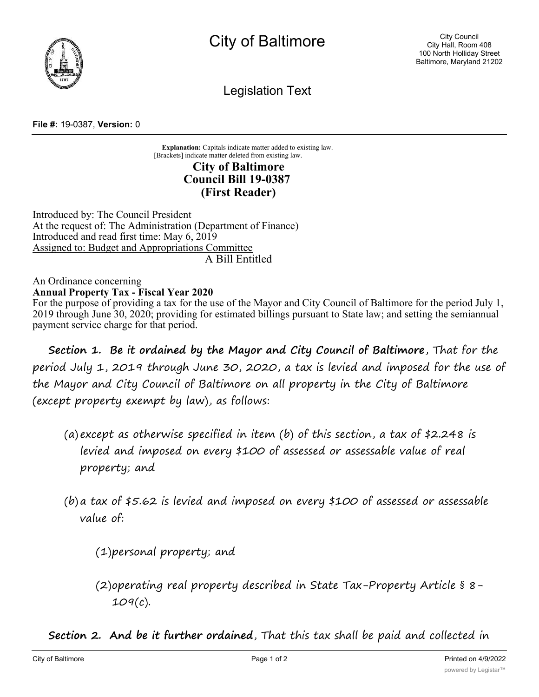

Legislation Text

## **File #:** 19-0387, **Version:** 0

**Explanation:** Capitals indicate matter added to existing law. [Brackets] indicate matter deleted from existing law. **City of Baltimore Council Bill 19-0387**

## **(First Reader)**

Introduced by: The Council President At the request of: The Administration (Department of Finance) Introduced and read first time: May 6, 2019 Assigned to: Budget and Appropriations Committee A Bill Entitled

## An Ordinance concerning **Annual Property Tax - Fiscal Year 2020**

For the purpose of providing a tax for the use of the Mayor and City Council of Baltimore for the period July 1, 2019 through June 30, 2020; providing for estimated billings pursuant to State law; and setting the semiannual payment service charge for that period.

**Section 1. Be it ordained by the Mayor and City Council of Baltimore**, That for the period July 1, 2019 through June 30, 2020, a tax is levied and imposed for the use of the Mayor and City Council of Baltimore on all property in the City of Baltimore (except property exempt by law), as follows:

- (a) except as otherwise specified in item (b) of this section, a tax of \$2.248 is levied and imposed on every \$100 of assessed or assessable value of real property; and
- (b) a tax of  $$5.62$  is levied and imposed on every  $$100$  of assessed or assessable value of:

(1)personal property; and

(2)operating real property described in State Tax-Property Article § 8- 109(c).

**Section 2. And be it further ordained**, That this tax shall be paid and collected in